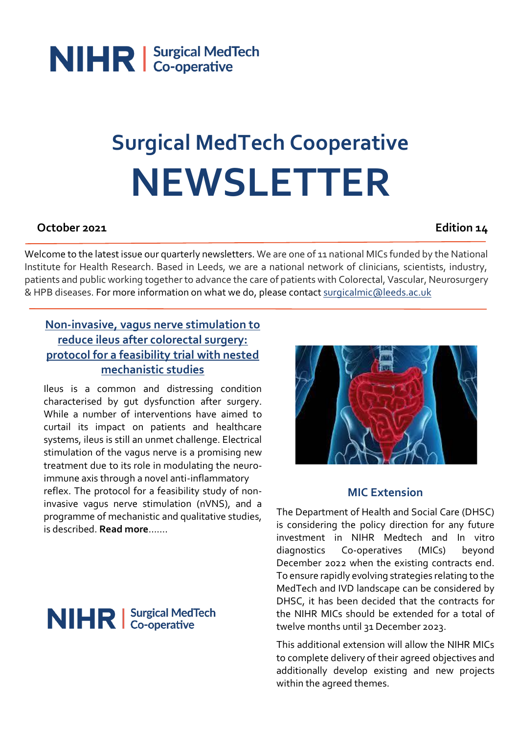

# **Surgical MedTech Cooperative NEWSLETTER**

#### **October 2021 Edition 14**

Welcome to the latest issue our quarterly newsletters. We are one of 11 national MICs funded by the National Institute for Health Research. Based in Leeds, we are a national network of clinicians, scientists, industry, patients and public working together to advance the care of patients with Colorectal, Vascular, Neurosurgery & HPB diseases. For more information on what we do, please contact [surgicalmic@leeds.ac.uk](mailto:surgicalmic@leeds.ac.uk)

#### **Non-invasive, vagus [nerve stimulation to](https://bmjopen.bmj.com/content/11/7/e046313.info)  [reduce ileus after colorectal surgery:](https://bmjopen.bmj.com/content/11/7/e046313.info)  [protocol for a feasibility trial with nested](https://bmjopen.bmj.com/content/11/7/e046313.info)  [mechanistic studies](https://bmjopen.bmj.com/content/11/7/e046313.info)**

Ileus is a common and distressing condition characterised by gut dysfunction after surgery. While a number of interventions have aimed to curtail its impact on patients and healthcare systems, ileus is still an unmet challenge. Electrical stimulation of the vagus nerve is a promising new treatment due to its role in modulating the neuroimmune axis through a novel anti-inflammatory reflex. The protocol for a feasibility study of noninvasive vagus nerve stimulation (nVNS), and a programme of mechanistic and qualitative studies, is described. **[Read more](https://bmjopen.bmj.com/content/bmjopen/11/7/e046313.full.pdf)**…….



#### **MIC Extension**

The Department of Health and Social Care (DHSC) is considering the policy direction for any future investment in NIHR Medtech and In vitro diagnostics Co-operatives (MICs) beyond December 2022 when the existing contracts end. To ensure rapidly evolving strategies relating to the MedTech and IVD landscape can be considered by DHSC, it has been decided that the contracts for the NIHR MICs should be extended for a total of twelve months until 31 December 2023.

This additional extension will allow the NIHR MICs to complete delivery of their agreed objectives and additionally develop existing and new projects within the agreed themes.

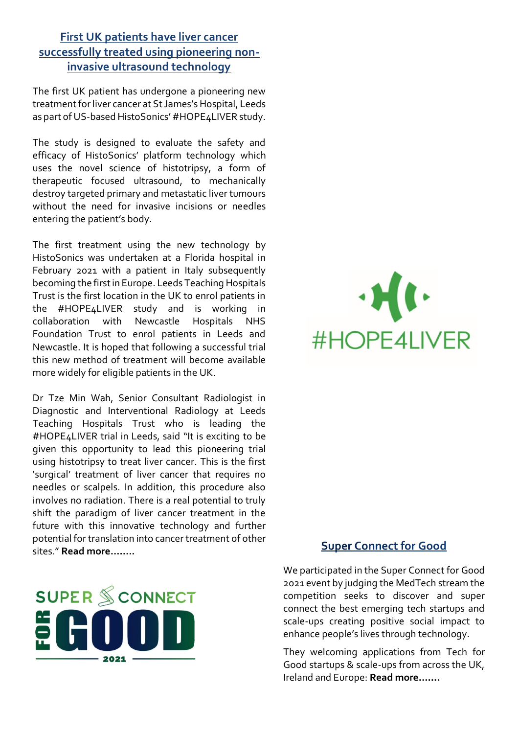#### **[First UK patients have liver cancer](https://histosonics.com/)  [successfully treated using pioneering non](https://histosonics.com/)[invasive ultrasound technology](https://histosonics.com/)**

The first UK patient has undergone a pioneering new treatment for liver cancer at St James's Hospital, Leeds as part of US-based HistoSonics' #HOPE4LIVER study.

The study is designed to evaluate the safety and efficacy of HistoSonics' platform technology which uses the novel science of histotripsy, a form of therapeutic focused ultrasound, to mechanically destroy targeted primary and metastatic liver tumours without the need for invasive incisions or needles entering the patient's body.

The first treatment using the new technology by HistoSonics was undertaken at a Florida hospital in February 2021 with a patient in Italy subsequently becoming the first in Europe. Leeds Teaching Hospitals Trust is the first location in the UK to enrol patients in the #HOPE4LIVER study and is working in collaboration with Newcastle Hospitals NHS Foundation Trust to enrol patients in Leeds and Newcastle. It is hoped that following a successful trial this new method of treatment will become available more widely for eligible patients in the UK.

Dr Tze Min Wah, Senior Consultant Radiologist in Diagnostic and Interventional Radiology at Leeds Teaching Hospitals Trust who is leading the #HOPE4LIVER trial in Leeds, said "It is exciting to be given this opportunity to lead this pioneering trial using histotripsy to treat liver cancer. This is the first 'surgical' treatment of liver cancer that requires no needles or scalpels. In addition, this procedure also involves no radiation. There is a real potential to truly shift the paradigm of liver cancer treatment in the future with this innovative technology and further potential for translation into cancer treatment of other sites." **[Read more](https://histosonics.com/)……..**





#### **Super Connect for Good**

We participated in the Super Connect for Good 2021 event by judging the MedTech stream the competition seeks to discover and super connect the best emerging tech startups and scale-ups creating positive social impact to enhance people's lives through technology.

They welcoming applications from Tech for Good startups & scale-ups from across the UK, Ireland and Europe: **[Read more…….](https://superconnectforgood.com/)**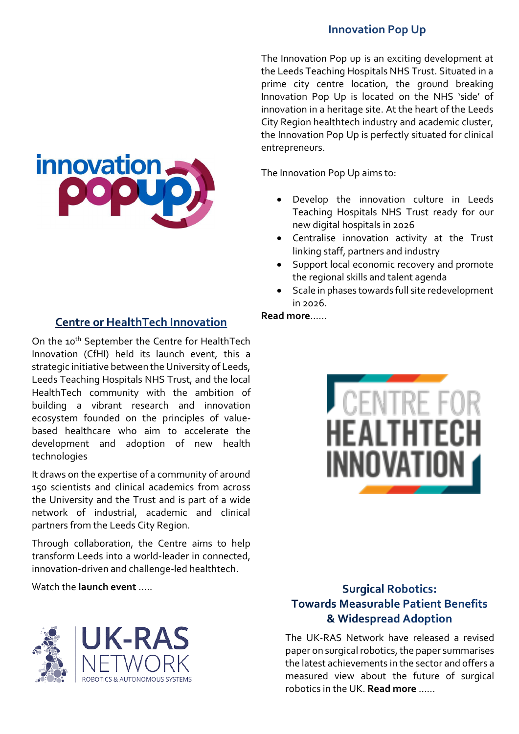#### **[Innovation Pop Up](https://www.leedsth.nhs.uk/research/innovation-pop-up)**

The Innovation Pop up is an exciting development at the Leeds Teaching Hospitals NHS Trust. Situated in a prime city centre location, the ground breaking Innovation Pop Up is located on the NHS 'side' of innovation in a heritage site. At the heart of the Leeds City Region healthtech industry and academic cluster, the Innovation Pop Up is perfectly situated for clinical entrepreneurs.

The Innovation Pop Up aims to:

- Develop the innovation culture in Leeds Teaching Hospitals NHS Trust ready for our new digital hospitals in 2026
- Centralise innovation activity at the Trust linking staff, partners and industry
- Support local economic recovery and promote the regional skills and talent agenda
- Scale in phases towards full site redevelopment  $in 2026$

#### **[Read more](https://www.leedsth.nhs.uk/research/innovation-pop-up)**……

#### **Centre or HealthTech Innovation**

On the 10<sup>th</sup> September the Centre for HealthTech Innovation (CfHI) held its launch event, this a strategic initiative between the University of Leeds, Leeds Teaching Hospitals NHS Trust, and the local HealthTech community with the ambition of building a vibrant research and innovation ecosystem founded on the principles of valuebased healthcare who aim to accelerate the development and adoption of new health technologies

It draws on the expertise of a community of around 150 scientists and clinical academics from across the University and the Trust and is part of a wide network of industrial, academic and clinical partners from the Leeds City Region.

Through collaboration, the Centre aims to help transform Leeds into a world-leader in connected, innovation-driven and challenge-led healthtech.

Watch the **[launch event](https://youtu.be/m6F5y5IZxZ0)** …..





#### **Surgical Robotics: Towards Measurable Patient Benefits** & Widespread Adoption

The UK-RAS Network have released a revised paper on surgical robotics, the paper summarises the latest achievements in the sector and offers a measured view about the future of surgical robotics in the UK. **[Read more](https://www.ukras.org/publications/white-papers/)** ……

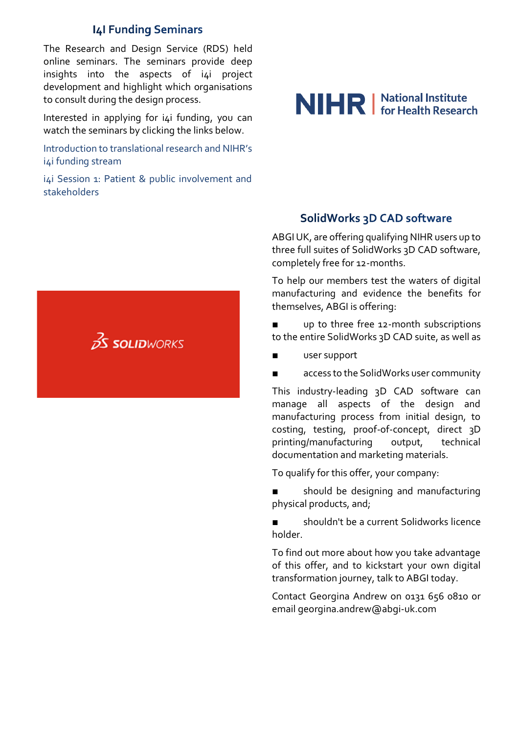#### **I4I Funding Seminars**

The Research and Design Service (RDS) held online seminars. The seminars provide deep insights into the aspects of i4i project development and highlight which organisations to consult during the design process.

Interested in applying for  $i4i$  funding, you can watch the seminars by clicking the links below.

[Introduction to translational research and NIHR's](https://youtu.be/jhLfETKE_do)  [i4i funding stream](https://youtu.be/jhLfETKE_do)

i4i Session 1: Patient & public involvement and [stakeholders](https://www.youtube.com/watch?v=z5jeqqV3V68)



## NIHR | National Institute

#### **SolidWorks 3D CAD software**

ABGI UK, are offering qualifying NIHR users up to three full suites of SolidWorks 3D CAD software, completely free for 12-months.

To help our members test the waters of digital manufacturing and evidence the benefits for themselves, ABGI is offering:

up to three free 12-month subscriptions to the entire SolidWorks 3D CAD suite, as well as

- user support
- access to the SolidWorks user community

This industry-leading 3D CAD software can manage all aspects of the design and manufacturing process from initial design, to costing, testing, proof-of-concept, direct 3D printing/manufacturing output, technical documentation and marketing materials.

To qualify for this offer, your company:

■ should be designing and manufacturing physical products, and;

shouldn't be a current Solidworks licence holder.

To find out more about how you take advantage of this offer, and to kickstart your own digital transformation journey, talk to ABGI today.

Contact Georgina Andrew on 0131 656 0810 or email georgina.andrew@abgi-uk.com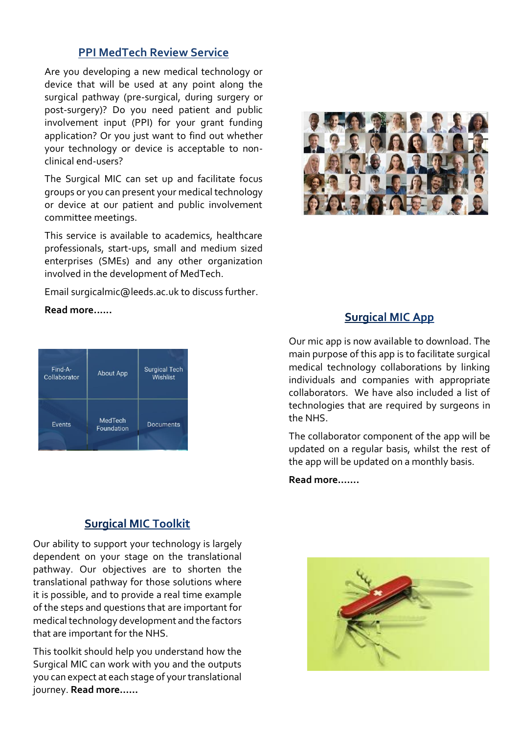#### **[PPI MedTech Review](https://surgicalmic.nihr.ac.uk/patients-the-public/ppi-for-researchers/) Service**

Are you developing a new medical technology or device that will be used at any point along the surgical pathway (pre-surgical, during surgery or post-surgery)? Do you need patient and public involvement input (PPI) for your grant funding application? Or you just want to find out whether your technology or device is acceptable to nonclinical end-users?

The Surgical MIC can set up and facilitate focus groups or you can present your medical technology or device at our patient and public involvement committee meetings.

This service is available to academics, healthcare professionals, start-ups, small and medium sized enterprises (SMEs) and any other organization involved in the development of MedTech.

Email surgicalmic@leeds.ac.uk to discuss further.

**[Read more.](https://surgicalmic.nihr.ac.uk/patients-the-public/ppi-for-researchers/).....**

| Find-A-<br>Collaborator | <b>About App</b>             | <b>Surgical Tech</b><br>Wishlist |
|-------------------------|------------------------------|----------------------------------|
| Events                  | <b>MedTech</b><br>Foundation | Documents                        |

#### **Surgical MIC Toolkit**

Our ability to support your technology is largely dependent on your stage on the translational pathway. Our objectives are to shorten the translational pathway for those solutions where it is possible, and to provide a real time example of the steps and questions that are important for medical technology development and the factors that are important for the NHS.

This toolkit should help you understand how the Surgical MIC can work with you and the outputs you can expect at each stage of your translational journey. **[Read more……](https://surgicalmic.nihr.ac.uk/get-involved-2/surgical-mic-toolkit/)**



#### **Surgical MIC App**

Our mic app is now available to download. The main purpose of this app is to facilitate surgical medical technology collaborations by linking individuals and companies with appropriate collaborators. We have also included a list of technologies that are required by surgeons in the NHS.

The collaborator component of the app will be updated on a regular basis, whilst the rest of the app will be updated on a monthly basis.

**[Read more…….](https://surgicalmic.nihr.ac.uk/get-involved-2/surgical-mic-app/)**

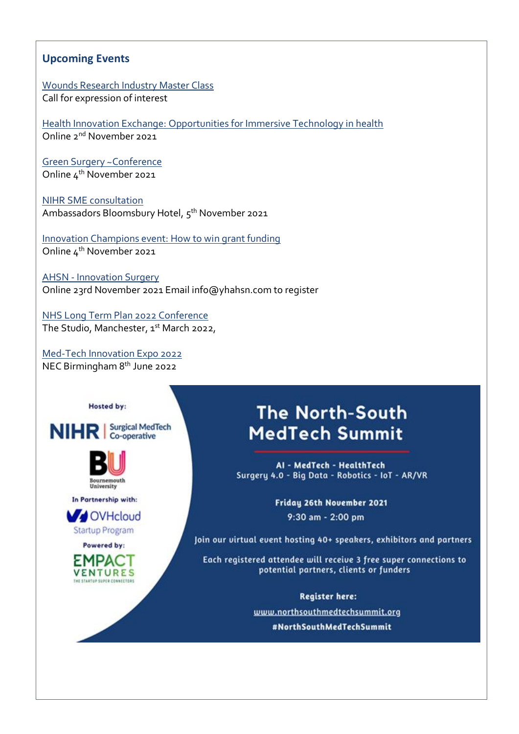#### **Upcoming Events**

[Wounds Research Industry](https://woundsrn.org/industry-master-class/) Master Class Call for expression of interest

[Health Innovation Exchange: Opportunities for Immersive Technology in health](https://email.hma.co.uk/t/r-l-trjiihx-otyjykkujk-f/) Online 2nd November 2021

[Green Surgery ~Conference](https://hopin.com/events/green-surgery-challenge-judging-and-awards-ceremony) Online 4<sup>th</sup> November 2021

[NIHR SME consultation](https://sehta.us18.list-manage.com/track/click?u=ef2e3facd8b4177038746eb4d&id=fe6b16029c&e=5a9fe0b698) Ambassadors Bloomsbury Hotel, 5<sup>th</sup> November 2021

[Innovation Champions event: How to win grant funding](Innovation%20Champions%20event:%20How%20to%20win%20grant%20funding) Online 4<sup>th</sup> November 2021

AHSN - [Innovation Surgery](mailto:info@yhahsn.com) Online 23rd November 2021 Email info@yhahsn.com to register

[NHS Long Term Plan 2022 Conference](https://www.openforumevents.co.uk/events/2022/nhs-long-term-plan-2022/?utm_source=S5+NHSLTP+WC+19.07+AC+3%2F13&utm_medium=email&utm_campaign=S5+NHSLTP+WC+19.07) The Studio, Manchester, 1<sup>st</sup> March 2022,

[Med-Tech Innovation Expo 2022](https://med-techexpo.com/event/en/page/take-part) NEC Birmingham 8 th June 2022







In Partnership with:



Powered by:



### **The North-South MedTech Summit**

AI - MedTech - HealthTech Surgery 4.0 - Big Data - Robotics - IoT - AR/VR

> Fridau 26th November 2021 9:30 am - 2:00 pm

Join our virtual event hosting 40+ speakers, exhibitors and partners

Each registered attendee will receive 3 free super connections to potential partners, clients or funders

> **Register here:** www.northsouthmedtechsummit.org #NorthSouthMedTechSummit